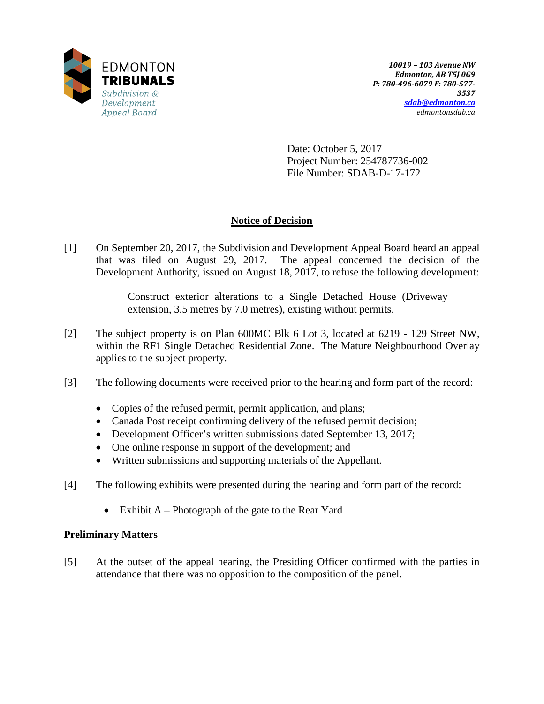

Date: October 5, 2017 Project Number: 254787736-002 File Number: SDAB-D-17-172

# **Notice of Decision**

[1] On September 20, 2017, the Subdivision and Development Appeal Board heard an appeal that was filed on August 29, 2017. The appeal concerned the decision of the Development Authority, issued on August 18, 2017, to refuse the following development:

> Construct exterior alterations to a Single Detached House (Driveway extension, 3.5 metres by 7.0 metres), existing without permits.

- [2] The subject property is on Plan 600MC Blk 6 Lot 3, located at 6219 129 Street NW, within the RF1 Single Detached Residential Zone. The Mature Neighbourhood Overlay applies to the subject property.
- [3] The following documents were received prior to the hearing and form part of the record:
	- Copies of the refused permit, permit application, and plans;
	- Canada Post receipt confirming delivery of the refused permit decision;
	- Development Officer's written submissions dated September 13, 2017;
	- One online response in support of the development; and
	- Written submissions and supporting materials of the Appellant.
- [4] The following exhibits were presented during the hearing and form part of the record:
	- Exhibit  $A$  Photograph of the gate to the Rear Yard

# **Preliminary Matters**

[5] At the outset of the appeal hearing, the Presiding Officer confirmed with the parties in attendance that there was no opposition to the composition of the panel.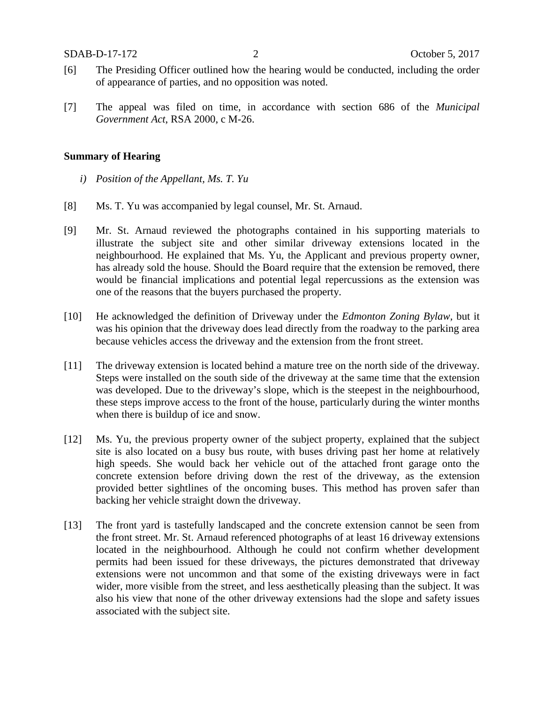- [6] The Presiding Officer outlined how the hearing would be conducted, including the order of appearance of parties, and no opposition was noted.
- [7] The appeal was filed on time, in accordance with section 686 of the *Municipal Government Act*, RSA 2000, c M-26.

### **Summary of Hearing**

- *i) Position of the Appellant, Ms. T. Yu*
- [8] Ms. T. Yu was accompanied by legal counsel, Mr. St. Arnaud.
- [9] Mr. St. Arnaud reviewed the photographs contained in his supporting materials to illustrate the subject site and other similar driveway extensions located in the neighbourhood. He explained that Ms. Yu, the Applicant and previous property owner, has already sold the house. Should the Board require that the extension be removed, there would be financial implications and potential legal repercussions as the extension was one of the reasons that the buyers purchased the property.
- [10] He acknowledged the definition of Driveway under the *Edmonton Zoning Bylaw,* but it was his opinion that the driveway does lead directly from the roadway to the parking area because vehicles access the driveway and the extension from the front street.
- [11] The driveway extension is located behind a mature tree on the north side of the driveway. Steps were installed on the south side of the driveway at the same time that the extension was developed. Due to the driveway's slope, which is the steepest in the neighbourhood, these steps improve access to the front of the house, particularly during the winter months when there is buildup of ice and snow.
- [12] Ms. Yu, the previous property owner of the subject property, explained that the subject site is also located on a busy bus route, with buses driving past her home at relatively high speeds. She would back her vehicle out of the attached front garage onto the concrete extension before driving down the rest of the driveway, as the extension provided better sightlines of the oncoming buses. This method has proven safer than backing her vehicle straight down the driveway.
- [13] The front yard is tastefully landscaped and the concrete extension cannot be seen from the front street. Mr. St. Arnaud referenced photographs of at least 16 driveway extensions located in the neighbourhood. Although he could not confirm whether development permits had been issued for these driveways, the pictures demonstrated that driveway extensions were not uncommon and that some of the existing driveways were in fact wider, more visible from the street, and less aesthetically pleasing than the subject. It was also his view that none of the other driveway extensions had the slope and safety issues associated with the subject site.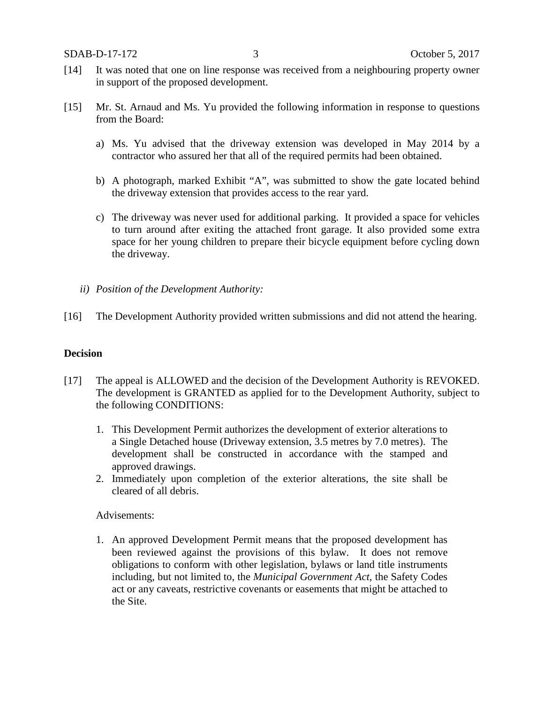- [14] It was noted that one on line response was received from a neighbouring property owner in support of the proposed development.
- [15] Mr. St. Arnaud and Ms. Yu provided the following information in response to questions from the Board:
	- a) Ms. Yu advised that the driveway extension was developed in May 2014 by a contractor who assured her that all of the required permits had been obtained.
	- b) A photograph, marked Exhibit "A", was submitted to show the gate located behind the driveway extension that provides access to the rear yard.
	- c) The driveway was never used for additional parking. It provided a space for vehicles to turn around after exiting the attached front garage. It also provided some extra space for her young children to prepare their bicycle equipment before cycling down the driveway.
	- *ii) Position of the Development Authority:*
- [16] The Development Authority provided written submissions and did not attend the hearing.

### **Decision**

- [17] The appeal is ALLOWED and the decision of the Development Authority is REVOKED. The development is GRANTED as applied for to the Development Authority, subject to the following CONDITIONS:
	- 1. This Development Permit authorizes the development of exterior alterations to a Single Detached house (Driveway extension, 3.5 metres by 7.0 metres). The development shall be constructed in accordance with the stamped and approved drawings.
	- 2. Immediately upon completion of the exterior alterations, the site shall be cleared of all debris.

#### Advisements:

1. An approved Development Permit means that the proposed development has been reviewed against the provisions of this bylaw. It does not remove obligations to conform with other legislation, bylaws or land title instruments including, but not limited to, the *Municipal Government Act*, the Safety Codes act or any caveats, restrictive covenants or easements that might be attached to the Site.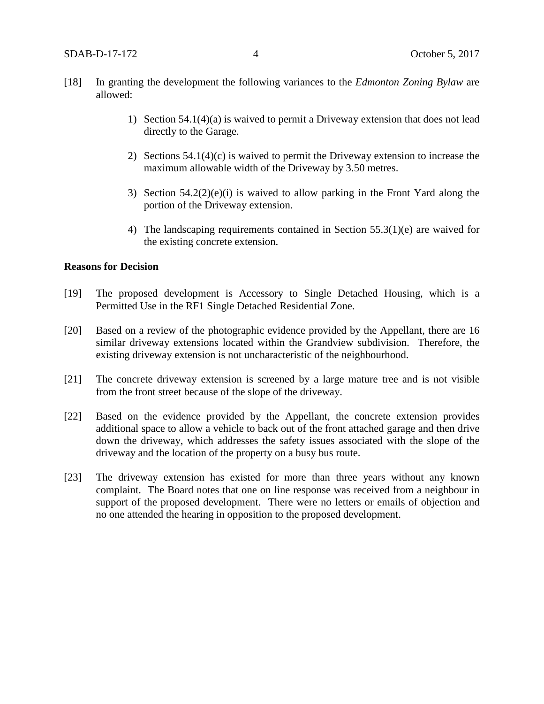- [18] In granting the development the following variances to the *Edmonton Zoning Bylaw* are allowed:
	- 1) Section  $54.1(4)(a)$  is waived to permit a Driveway extension that does not lead directly to the Garage.
	- 2) Sections 54.1(4)(c) is waived to permit the Driveway extension to increase the maximum allowable width of the Driveway by 3.50 metres.
	- 3) Section 54.2(2)(e)(i) is waived to allow parking in the Front Yard along the portion of the Driveway extension.
	- 4) The landscaping requirements contained in Section 55.3(1)(e) are waived for the existing concrete extension.

### **Reasons for Decision**

- [19] The proposed development is Accessory to Single Detached Housing, which is a Permitted Use in the RF1 Single Detached Residential Zone.
- [20] Based on a review of the photographic evidence provided by the Appellant, there are 16 similar driveway extensions located within the Grandview subdivision. Therefore, the existing driveway extension is not uncharacteristic of the neighbourhood.
- [21] The concrete driveway extension is screened by a large mature tree and is not visible from the front street because of the slope of the driveway.
- [22] Based on the evidence provided by the Appellant, the concrete extension provides additional space to allow a vehicle to back out of the front attached garage and then drive down the driveway, which addresses the safety issues associated with the slope of the driveway and the location of the property on a busy bus route.
- [23] The driveway extension has existed for more than three years without any known complaint. The Board notes that one on line response was received from a neighbour in support of the proposed development. There were no letters or emails of objection and no one attended the hearing in opposition to the proposed development.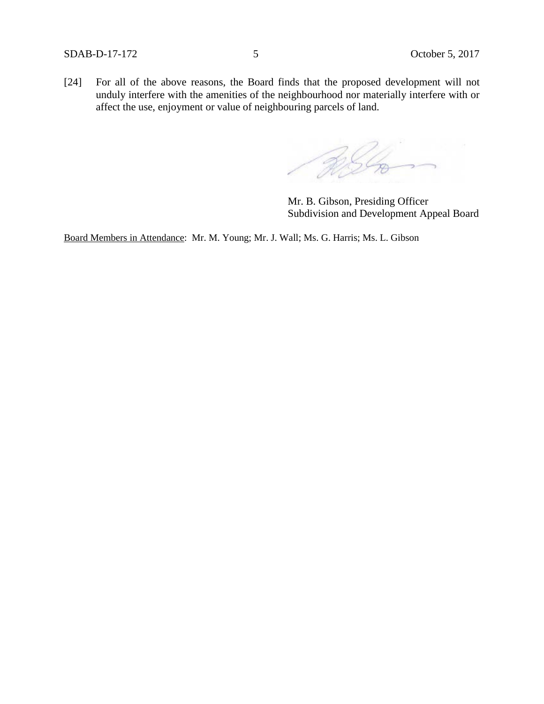[24] For all of the above reasons, the Board finds that the proposed development will not unduly interfere with the amenities of the neighbourhood nor materially interfere with or affect the use, enjoyment or value of neighbouring parcels of land.

2 G

Mr. B. Gibson, Presiding Officer Subdivision and Development Appeal Board

Board Members in Attendance: Mr. M. Young; Mr. J. Wall; Ms. G. Harris; Ms. L. Gibson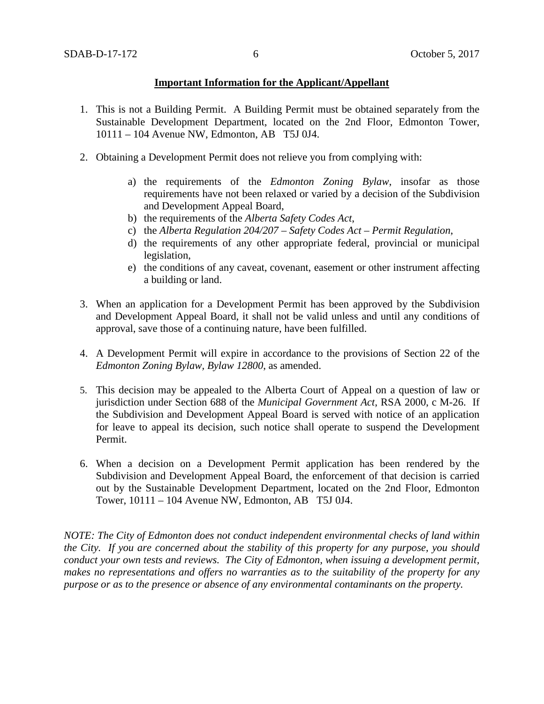## **Important Information for the Applicant/Appellant**

- 1. This is not a Building Permit. A Building Permit must be obtained separately from the Sustainable Development Department, located on the 2nd Floor, Edmonton Tower, 10111 – 104 Avenue NW, Edmonton, AB T5J 0J4.
- 2. Obtaining a Development Permit does not relieve you from complying with:
	- a) the requirements of the *Edmonton Zoning Bylaw*, insofar as those requirements have not been relaxed or varied by a decision of the Subdivision and Development Appeal Board,
	- b) the requirements of the *Alberta Safety Codes Act*,
	- c) the *Alberta Regulation 204/207 – Safety Codes Act – Permit Regulation*,
	- d) the requirements of any other appropriate federal, provincial or municipal legislation,
	- e) the conditions of any caveat, covenant, easement or other instrument affecting a building or land.
- 3. When an application for a Development Permit has been approved by the Subdivision and Development Appeal Board, it shall not be valid unless and until any conditions of approval, save those of a continuing nature, have been fulfilled.
- 4. A Development Permit will expire in accordance to the provisions of Section 22 of the *Edmonton Zoning Bylaw, Bylaw 12800*, as amended.
- 5. This decision may be appealed to the Alberta Court of Appeal on a question of law or jurisdiction under Section 688 of the *Municipal Government Act*, RSA 2000, c M-26. If the Subdivision and Development Appeal Board is served with notice of an application for leave to appeal its decision, such notice shall operate to suspend the Development Permit.
- 6. When a decision on a Development Permit application has been rendered by the Subdivision and Development Appeal Board, the enforcement of that decision is carried out by the Sustainable Development Department, located on the 2nd Floor, Edmonton Tower, 10111 – 104 Avenue NW, Edmonton, AB T5J 0J4.

*NOTE: The City of Edmonton does not conduct independent environmental checks of land within the City. If you are concerned about the stability of this property for any purpose, you should conduct your own tests and reviews. The City of Edmonton, when issuing a development permit, makes no representations and offers no warranties as to the suitability of the property for any purpose or as to the presence or absence of any environmental contaminants on the property.*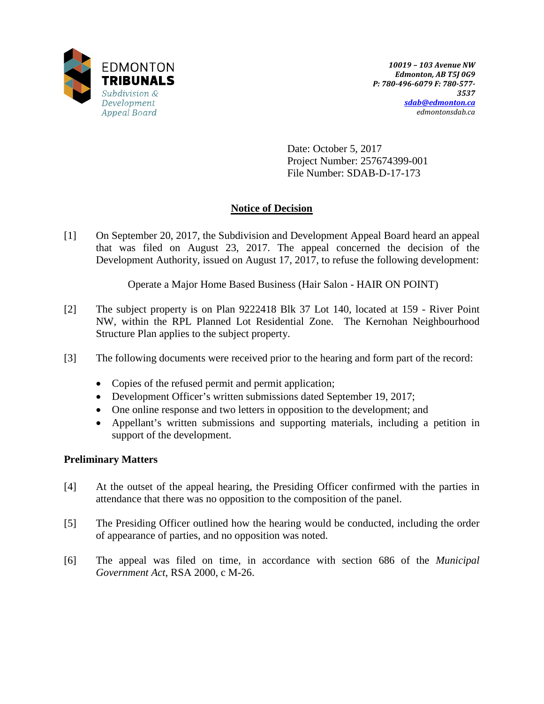

Date: October 5, 2017 Project Number: 257674399-001 File Number: SDAB-D-17-173

# **Notice of Decision**

[1] On September 20, 2017, the Subdivision and Development Appeal Board heard an appeal that was filed on August 23, 2017. The appeal concerned the decision of the Development Authority, issued on August 17, 2017, to refuse the following development:

Operate a Major Home Based Business (Hair Salon - HAIR ON POINT)

- [2] The subject property is on Plan 9222418 Blk 37 Lot 140, located at 159 River Point NW, within the RPL Planned Lot Residential Zone. The Kernohan Neighbourhood Structure Plan applies to the subject property.
- [3] The following documents were received prior to the hearing and form part of the record:
	- Copies of the refused permit and permit application;
	- Development Officer's written submissions dated September 19, 2017;
	- One online response and two letters in opposition to the development; and
	- Appellant's written submissions and supporting materials, including a petition in support of the development.

# **Preliminary Matters**

- [4] At the outset of the appeal hearing, the Presiding Officer confirmed with the parties in attendance that there was no opposition to the composition of the panel.
- [5] The Presiding Officer outlined how the hearing would be conducted, including the order of appearance of parties, and no opposition was noted.
- [6] The appeal was filed on time, in accordance with section 686 of the *Municipal Government Act*, RSA 2000, c M-26.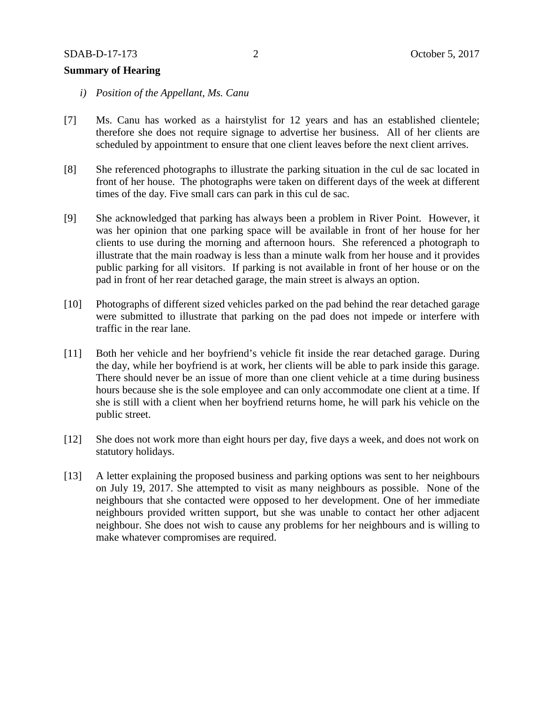#### **Summary of Hearing**

- *i) Position of the Appellant, Ms. Canu*
- [7] Ms. Canu has worked as a hairstylist for 12 years and has an established clientele; therefore she does not require signage to advertise her business. All of her clients are scheduled by appointment to ensure that one client leaves before the next client arrives.
- [8] She referenced photographs to illustrate the parking situation in the cul de sac located in front of her house. The photographs were taken on different days of the week at different times of the day. Five small cars can park in this cul de sac.
- [9] She acknowledged that parking has always been a problem in River Point. However, it was her opinion that one parking space will be available in front of her house for her clients to use during the morning and afternoon hours. She referenced a photograph to illustrate that the main roadway is less than a minute walk from her house and it provides public parking for all visitors. If parking is not available in front of her house or on the pad in front of her rear detached garage, the main street is always an option.
- [10] Photographs of different sized vehicles parked on the pad behind the rear detached garage were submitted to illustrate that parking on the pad does not impede or interfere with traffic in the rear lane.
- [11] Both her vehicle and her boyfriend's vehicle fit inside the rear detached garage. During the day, while her boyfriend is at work, her clients will be able to park inside this garage. There should never be an issue of more than one client vehicle at a time during business hours because she is the sole employee and can only accommodate one client at a time. If she is still with a client when her boyfriend returns home, he will park his vehicle on the public street.
- [12] She does not work more than eight hours per day, five days a week, and does not work on statutory holidays.
- [13] A letter explaining the proposed business and parking options was sent to her neighbours on July 19, 2017. She attempted to visit as many neighbours as possible. None of the neighbours that she contacted were opposed to her development. One of her immediate neighbours provided written support, but she was unable to contact her other adjacent neighbour. She does not wish to cause any problems for her neighbours and is willing to make whatever compromises are required.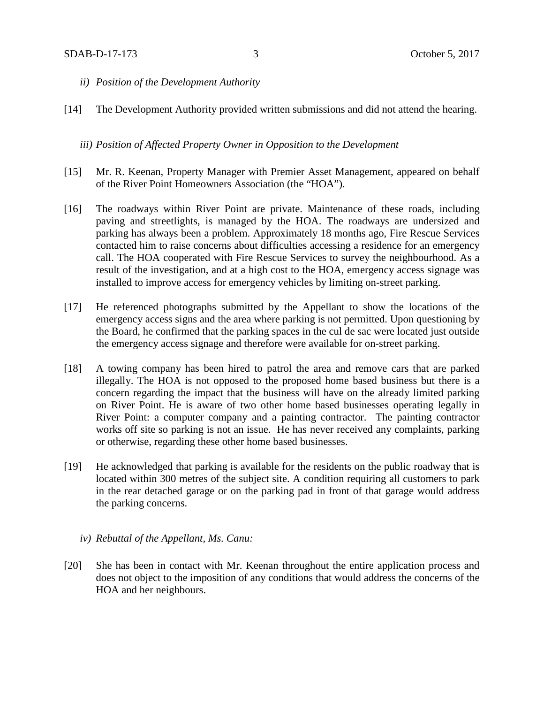- *ii) Position of the Development Authority*
- [14] The Development Authority provided written submissions and did not attend the hearing.

*iii) Position of Affected Property Owner in Opposition to the Development*

- [15] Mr. R. Keenan, Property Manager with Premier Asset Management, appeared on behalf of the River Point Homeowners Association (the "HOA").
- [16] The roadways within River Point are private. Maintenance of these roads, including paving and streetlights, is managed by the HOA. The roadways are undersized and parking has always been a problem. Approximately 18 months ago, Fire Rescue Services contacted him to raise concerns about difficulties accessing a residence for an emergency call. The HOA cooperated with Fire Rescue Services to survey the neighbourhood. As a result of the investigation, and at a high cost to the HOA, emergency access signage was installed to improve access for emergency vehicles by limiting on-street parking.
- [17] He referenced photographs submitted by the Appellant to show the locations of the emergency access signs and the area where parking is not permitted. Upon questioning by the Board, he confirmed that the parking spaces in the cul de sac were located just outside the emergency access signage and therefore were available for on-street parking.
- [18] A towing company has been hired to patrol the area and remove cars that are parked illegally. The HOA is not opposed to the proposed home based business but there is a concern regarding the impact that the business will have on the already limited parking on River Point. He is aware of two other home based businesses operating legally in River Point: a computer company and a painting contractor. The painting contractor works off site so parking is not an issue. He has never received any complaints, parking or otherwise, regarding these other home based businesses.
- [19] He acknowledged that parking is available for the residents on the public roadway that is located within 300 metres of the subject site. A condition requiring all customers to park in the rear detached garage or on the parking pad in front of that garage would address the parking concerns.
	- *iv) Rebuttal of the Appellant, Ms. Canu:*
- [20] She has been in contact with Mr. Keenan throughout the entire application process and does not object to the imposition of any conditions that would address the concerns of the HOA and her neighbours.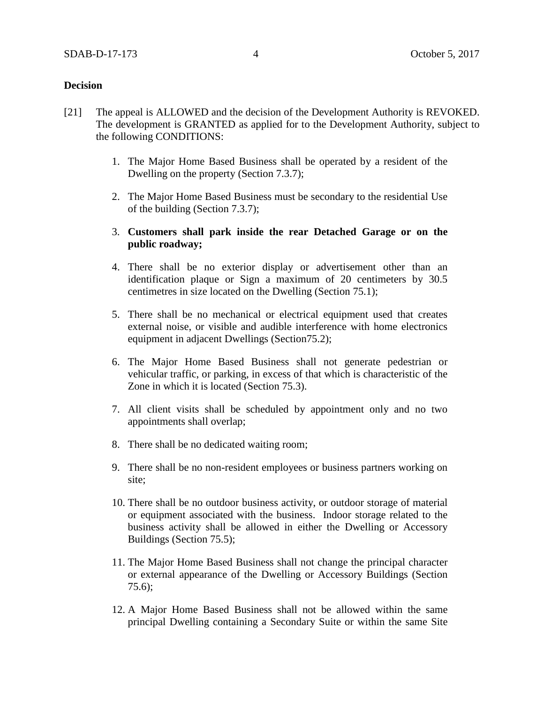### **Decision**

- [21] The appeal is ALLOWED and the decision of the Development Authority is REVOKED. The development is GRANTED as applied for to the Development Authority, subject to the following CONDITIONS:
	- 1. The Major Home Based Business shall be operated by a resident of the Dwelling on the property (Section 7.3.7);
	- 2. The Major Home Based Business must be secondary to the residential Use of the building (Section 7.3.7);
	- 3. **Customers shall park inside the rear Detached Garage or on the public roadway;**
	- 4. There shall be no exterior display or advertisement other than an identification plaque or Sign a maximum of 20 centimeters by 30.5 centimetres in size located on the Dwelling (Section 75.1);
	- 5. There shall be no mechanical or electrical equipment used that creates external noise, or visible and audible interference with home electronics equipment in adjacent Dwellings (Section75.2);
	- 6. The Major Home Based Business shall not generate pedestrian or vehicular traffic, or parking, in excess of that which is characteristic of the Zone in which it is located (Section 75.3).
	- 7. All client visits shall be scheduled by appointment only and no two appointments shall overlap;
	- 8. There shall be no dedicated waiting room;
	- 9. There shall be no non-resident employees or business partners working on site;
	- 10. There shall be no outdoor business activity, or outdoor storage of material or equipment associated with the business. Indoor storage related to the business activity shall be allowed in either the Dwelling or Accessory Buildings (Section 75.5);
	- 11. The Major Home Based Business shall not change the principal character or external appearance of the Dwelling or Accessory Buildings (Section 75.6);
	- 12. A Major Home Based Business shall not be allowed within the same principal Dwelling containing a Secondary Suite or within the same Site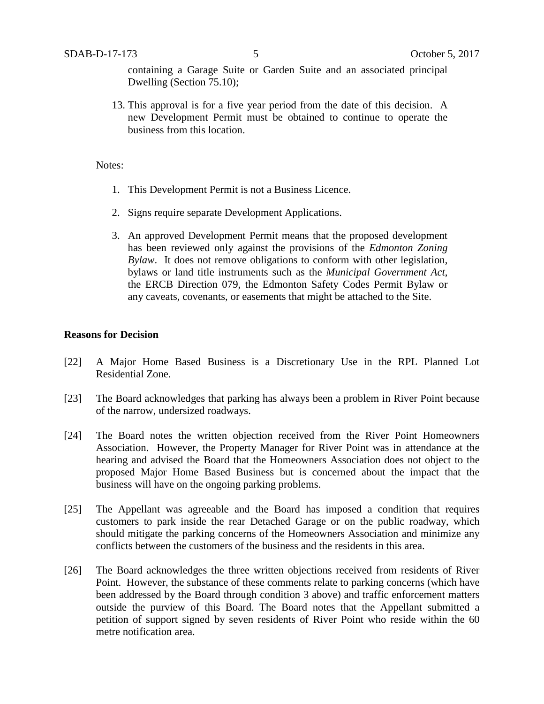containing a Garage Suite or Garden Suite and an associated principal Dwelling (Section 75.10);

13. This approval is for a five year period from the date of this decision. A new Development Permit must be obtained to continue to operate the business from this location.

#### Notes:

- 1. This Development Permit is not a Business Licence.
- 2. Signs require separate Development Applications.
- 3. An approved Development Permit means that the proposed development has been reviewed only against the provisions of the *Edmonton Zoning Bylaw*. It does not remove obligations to conform with other legislation, bylaws or land title instruments such as the *Municipal Government Act*, the ERCB Direction 079, the Edmonton Safety Codes Permit Bylaw or any caveats, covenants, or easements that might be attached to the Site.

#### **Reasons for Decision**

- [22] A Major Home Based Business is a Discretionary Use in the RPL Planned Lot Residential Zone.
- [23] The Board acknowledges that parking has always been a problem in River Point because of the narrow, undersized roadways.
- [24] The Board notes the written objection received from the River Point Homeowners Association. However, the Property Manager for River Point was in attendance at the hearing and advised the Board that the Homeowners Association does not object to the proposed Major Home Based Business but is concerned about the impact that the business will have on the ongoing parking problems.
- [25] The Appellant was agreeable and the Board has imposed a condition that requires customers to park inside the rear Detached Garage or on the public roadway, which should mitigate the parking concerns of the Homeowners Association and minimize any conflicts between the customers of the business and the residents in this area.
- [26] The Board acknowledges the three written objections received from residents of River Point. However, the substance of these comments relate to parking concerns (which have been addressed by the Board through condition 3 above) and traffic enforcement matters outside the purview of this Board. The Board notes that the Appellant submitted a petition of support signed by seven residents of River Point who reside within the 60 metre notification area.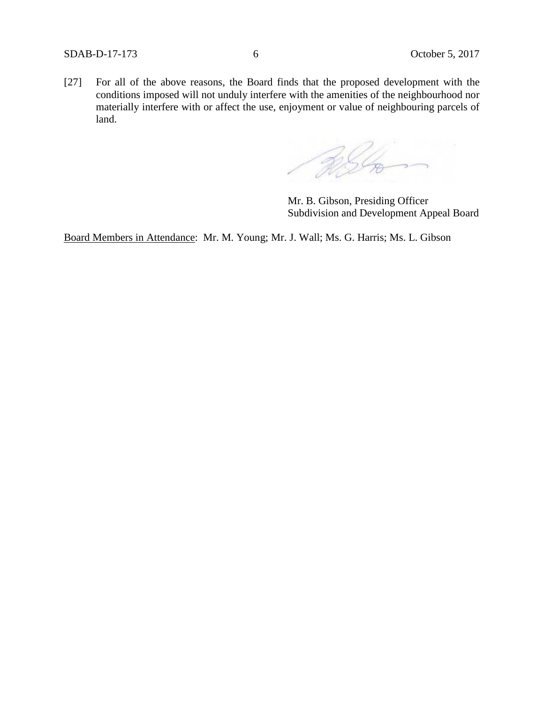[27] For all of the above reasons, the Board finds that the proposed development with the conditions imposed will not unduly interfere with the amenities of the neighbourhood nor materially interfere with or affect the use, enjoyment or value of neighbouring parcels of land.

,ÇG

Mr. B. Gibson, Presiding Officer Subdivision and Development Appeal Board

Board Members in Attendance: Mr. M. Young; Mr. J. Wall; Ms. G. Harris; Ms. L. Gibson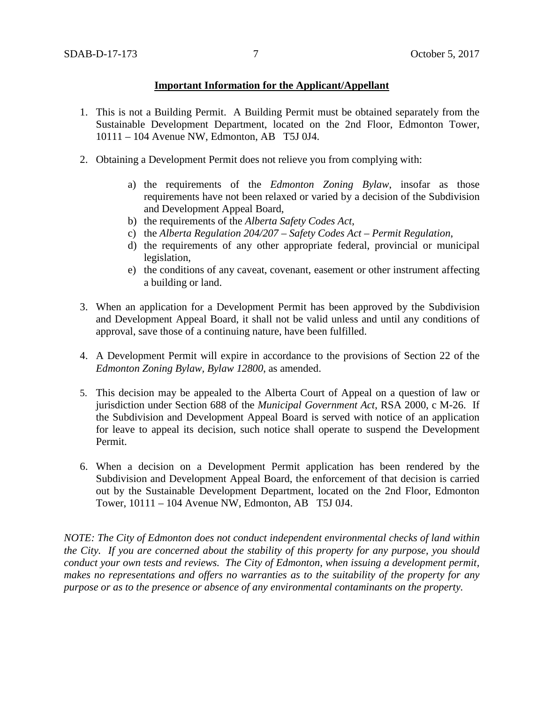## **Important Information for the Applicant/Appellant**

- 1. This is not a Building Permit. A Building Permit must be obtained separately from the Sustainable Development Department, located on the 2nd Floor, Edmonton Tower, 10111 – 104 Avenue NW, Edmonton, AB T5J 0J4.
- 2. Obtaining a Development Permit does not relieve you from complying with:
	- a) the requirements of the *Edmonton Zoning Bylaw*, insofar as those requirements have not been relaxed or varied by a decision of the Subdivision and Development Appeal Board,
	- b) the requirements of the *Alberta Safety Codes Act*,
	- c) the *Alberta Regulation 204/207 – Safety Codes Act – Permit Regulation*,
	- d) the requirements of any other appropriate federal, provincial or municipal legislation,
	- e) the conditions of any caveat, covenant, easement or other instrument affecting a building or land.
- 3. When an application for a Development Permit has been approved by the Subdivision and Development Appeal Board, it shall not be valid unless and until any conditions of approval, save those of a continuing nature, have been fulfilled.
- 4. A Development Permit will expire in accordance to the provisions of Section 22 of the *Edmonton Zoning Bylaw, Bylaw 12800*, as amended.
- 5. This decision may be appealed to the Alberta Court of Appeal on a question of law or jurisdiction under Section 688 of the *Municipal Government Act*, RSA 2000, c M-26. If the Subdivision and Development Appeal Board is served with notice of an application for leave to appeal its decision, such notice shall operate to suspend the Development Permit.
- 6. When a decision on a Development Permit application has been rendered by the Subdivision and Development Appeal Board, the enforcement of that decision is carried out by the Sustainable Development Department, located on the 2nd Floor, Edmonton Tower, 10111 – 104 Avenue NW, Edmonton, AB T5J 0J4.

*NOTE: The City of Edmonton does not conduct independent environmental checks of land within the City. If you are concerned about the stability of this property for any purpose, you should conduct your own tests and reviews. The City of Edmonton, when issuing a development permit, makes no representations and offers no warranties as to the suitability of the property for any purpose or as to the presence or absence of any environmental contaminants on the property.*